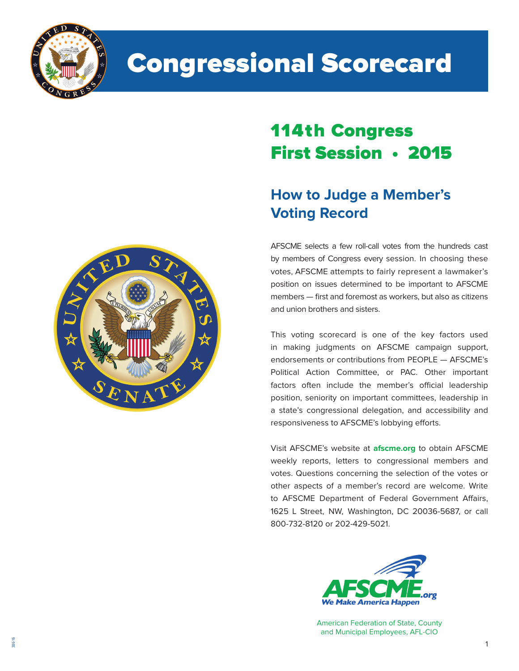

# Congressional Scorecard

## 114th Congress First Session • 2015

### **How to Judge a Member's Voting Record**

AFSCME selects a few roll-call votes from the hundreds cast by members of Congress every session. In choosing these votes, AFSCME attempts to fairly represent a lawmaker's position on issues determined to be important to AFSCME members — first and foremost as workers, but also as citizens and union brothers and sisters.

This voting scorecard is one of the key factors used in making judgments on AFSCME campaign support, endorsements or contributions from PEOPLE — AFSCME's Political Action Committee, or PAC. Other important factors often include the member's official leadership position, seniority on important committees, leadership in a state's congressional delegation, and accessibility and responsiveness to AFSCME's lobbying efforts.

Visit AFSCME's website at **afscme.org** to obtain AFSCME weekly reports, letters to congressional members and votes. Questions concerning the selection of the votes or other aspects of a member's record are welcome. Write to AFSCME Department of Federal Government Affairs, 1625 L Street, NW, Washington, DC 20036-5687, or call 800-732-8120 or 202-429-5021.



American Federation of State, County and Municipal Employees, AFL-CIO

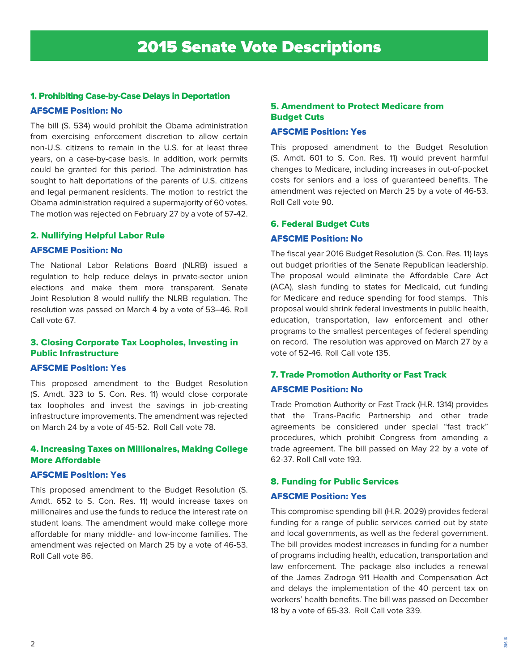#### 1. Prohibiting Case-by-Case Delays in Deportation

#### AFSCME Position: No

The bill (S. 534) would prohibit the Obama administration from exercising enforcement discretion to allow certain non-U.S. citizens to remain in the U.S. for at least three years, on a case-by-case basis. In addition, work permits could be granted for this period. The administration has sought to halt deportations of the parents of U.S. citizens and legal permanent residents. The motion to restrict the Obama administration required a supermajority of 60 votes. The motion was rejected on February 27 by a vote of 57-42.

#### 2. Nullifying Helpful Labor Rule

#### AFSCME Position: No

The National Labor Relations Board (NLRB) issued a regulation to help reduce delays in private-sector union elections and make them more transparent. Senate Joint Resolution 8 would nullify the NLRB regulation. The resolution was passed on March 4 by a vote of 53–46. Roll Call vote 67.

#### 3. Closing Corporate Tax Loopholes, Investing in Public Infrastructure

#### AFSCME Position: Yes

This proposed amendment to the Budget Resolution (S. Amdt. 323 to S. Con. Res. 11) would close corporate tax loopholes and invest the savings in job-creating infrastructure improvements. The amendment was rejected on March 24 by a vote of 45-52. Roll Call vote 78.

#### 4. Increasing Taxes on Millionaires, Making College More Affordable

#### AFSCME Position: Yes

This proposed amendment to the Budget Resolution (S. Amdt. 652 to S. Con. Res. 11) would increase taxes on millionaires and use the funds to reduce the interest rate on student loans. The amendment would make college more affordable for many middle- and low-income families. The amendment was rejected on March 25 by a vote of 46-53. Roll Call vote 86.

#### 5. Amendment to Protect Medicare from Budget Cuts

#### AFSCME Position: Yes

This proposed amendment to the Budget Resolution (S. Amdt. 601 to S. Con. Res. 11) would prevent harmful changes to Medicare, including increases in out-of-pocket costs for seniors and a loss of guaranteed benefits. The amendment was rejected on March 25 by a vote of 46-53. Roll Call vote 90.

#### 6. Federal Budget Cuts

#### AFSCME Position: No

The fiscal year 2016 Budget Resolution (S. Con. Res. 11) lays out budget priorities of the Senate Republican leadership. The proposal would eliminate the Affordable Care Act (ACA), slash funding to states for Medicaid, cut funding for Medicare and reduce spending for food stamps. This proposal would shrink federal investments in public health, education, transportation, law enforcement and other programs to the smallest percentages of federal spending on record. The resolution was approved on March 27 by a vote of 52-46. Roll Call vote 135.

#### 7. Trade Promotion Authority or Fast Track AFSCME Position: No

Trade Promotion Authority or Fast Track (H.R. 1314) provides that the Trans-Pacific Partnership and other trade agreements be considered under special "fast track" procedures, which prohibit Congress from amending a trade agreement. The bill passed on May 22 by a vote of 62-37. Roll Call vote 193.

#### 8. Funding for Public Services

#### AFSCME Position: Yes

This compromise spending bill (H.R. 2029) provides federal funding for a range of public services carried out by state and local governments, as well as the federal government. The bill provides modest increases in funding for a number of programs including health, education, transportation and law enforcement. The package also includes a renewal of the James Zadroga 911 Health and Compensation Act and delays the implementation of the 40 percent tax on workers' health benefits. The bill was passed on December 18 by a vote of 65-33. Roll Call vote 339.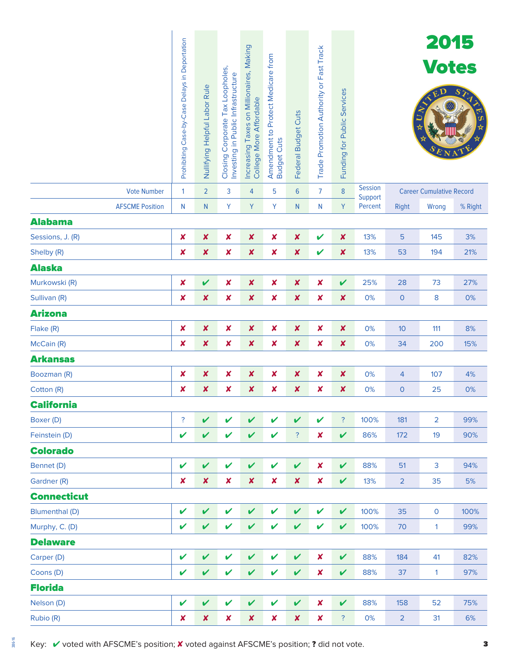|                        | Prohibiting Case-by-Case Delays in Deportation | Nullifying Helpful Labor Rule | Closing Corporate Tax Loopholes,<br>Investing in Public Infrastructure | Increasing Taxes on Millionaires, Making<br>College More Affordable | Amendment to Protect Medicare from<br><b>Budget Cuts</b> | Federal Budget Cuts       | Trade Promotion Authority or Fast Track | Funding for Public Services |                           |                | 2015<br><b>Votes</b>            | S <sub>2</sub> |
|------------------------|------------------------------------------------|-------------------------------|------------------------------------------------------------------------|---------------------------------------------------------------------|----------------------------------------------------------|---------------------------|-----------------------------------------|-----------------------------|---------------------------|----------------|---------------------------------|----------------|
| <b>Vote Number</b>     | 1                                              | $\overline{2}$                | 3                                                                      | 4                                                                   | 5                                                        | $6\phantom{1}6$           | $\overline{7}$                          | $\bf 8$                     | <b>Session</b><br>Support |                | <b>Career Cumulative Record</b> |                |
| <b>AFSCME Position</b> | N                                              | $\mathsf{N}$                  | Υ                                                                      | Y                                                                   | Y                                                        | N                         | N                                       | Y                           | Percent                   | <b>Right</b>   | Wrong                           | % Right        |
| <b>Alabama</b>         |                                                |                               |                                                                        |                                                                     |                                                          |                           |                                         |                             |                           |                |                                 |                |
| Sessions, J. (R)       | $\boldsymbol{\mathsf{x}}$                      | $\pmb{\mathsf{x}}$            | $\pmb{\mathsf{x}}$                                                     | $\pmb{\mathsf{x}}$                                                  | $\boldsymbol{\mathsf{x}}$                                | $\boldsymbol{x}$          | $\boldsymbol{\mathcal{U}}$              | $\boldsymbol{\mathsf{x}}$   | 13%                       | 5              | 145                             | 3%             |
| Shelby (R)             | $\boldsymbol{\mathsf{x}}$                      | $\pmb{\mathsf{X}}$            | $\pmb{\mathsf{x}}$                                                     | $\pmb{\mathsf{X}}$                                                  | $\boldsymbol{x}$                                         | $\boldsymbol{x}$          | $\boldsymbol{\mathcal{U}}$              | $\boldsymbol{\mathsf{x}}$   | 13%                       | 53             | 194                             | 21%            |
| <b>Alaska</b>          |                                                |                               |                                                                        |                                                                     |                                                          |                           |                                         |                             |                           |                |                                 |                |
| Murkowski (R)          | $\pmb{\times}$                                 | $\boldsymbol{\mathcal{U}}$    | $\pmb{\mathsf{x}}$                                                     | $\pmb{\mathsf{x}}$                                                  | $\pmb{\times}$                                           | $\pmb{\mathsf{X}}$        | $\pmb{\times}$                          | $\checkmark$                | 25%                       | 28             | 73                              | 27%            |
| Sullivan (R)           | $\boldsymbol{\mathsf{x}}$                      | $\pmb{\mathsf{x}}$            | $\pmb{\mathsf{x}}$                                                     | $\pmb{\mathsf{x}}$                                                  | $\boldsymbol{x}$                                         | $\boldsymbol{\mathsf{x}}$ | $\pmb{\times}$                          | $\boldsymbol{\mathsf{x}}$   | 0%                        | $\mathbf{O}$   | 8                               | 0%             |
| <b>Arizona</b>         |                                                |                               |                                                                        |                                                                     |                                                          |                           |                                         |                             |                           |                |                                 |                |
| Flake (R)              | $\pmb{\times}$                                 | $\pmb{\mathsf{x}}$            | $\pmb{\mathsf{x}}$                                                     | $\pmb{\mathsf{x}}$                                                  | $\boldsymbol{\mathsf{x}}$                                | $\boldsymbol{x}$          | ×                                       | ×                           | 0%                        | 10             | 111                             | 8%             |
| McCain (R)             | $\boldsymbol{\mathsf{x}}$                      | $\pmb{\mathsf{X}}$            | $\pmb{\mathsf{x}}$                                                     | $\pmb{\mathsf{X}}$                                                  | $\boldsymbol{x}$                                         | $\boldsymbol{x}$          | ×                                       | ×                           | 0%                        | 34             | 200                             | 15%            |
| <b>Arkansas</b>        |                                                |                               |                                                                        |                                                                     |                                                          |                           |                                         |                             |                           |                |                                 |                |
| Boozman (R)            | $\pmb{\times}$                                 | $\pmb{\mathsf{X}}$            | $\pmb{\mathsf{x}}$                                                     | $\pmb{\mathsf{x}}$                                                  | $\pmb{\times}$                                           | $\boldsymbol{x}$          | $\pmb{\times}$                          | $\boldsymbol{\mathsf{x}}$   | 0%                        | 4              | 107                             | 4%             |
| Cotton (R)             | $\boldsymbol{\mathsf{x}}$                      | $\pmb{\mathsf{x}}$            | $\pmb{\times}$                                                         | $\pmb{\mathsf{x}}$                                                  | ×                                                        | ×                         | ×                                       | $\boldsymbol{\mathsf{x}}$   | 0%                        | $\mathbf 0$    | 25                              | 0%             |
| <b>California</b>      |                                                |                               |                                                                        |                                                                     |                                                          |                           |                                         |                             |                           |                |                                 |                |
| Boxer (D)              | ?                                              | $\boldsymbol{\mathcal{U}}$    | V                                                                      | V                                                                   | $\checkmark$                                             | $\mathbf v$               | $\boldsymbol{\nu}$                      | $\ddot{?}$                  | 100%                      | 181            | $\overline{2}$                  | 99%            |
| Feinstein (D)          | ✔                                              | $\boldsymbol{\mathcal{U}}$    | V                                                                      | V                                                                   | $\checkmark$                                             | ?                         | X                                       | $\checkmark$                | 86%                       | 172            | 19                              | 90%            |
| <b>Colorado</b>        |                                                |                               |                                                                        |                                                                     |                                                          |                           |                                         |                             |                           |                |                                 |                |
| Bennet (D)             | V                                              | $\checkmark$                  | V                                                                      | V                                                                   | $\mathbf v$                                              | V                         | $\pmb{\times}$                          | $\checkmark$                | 88%                       | 51             | 3                               | 94%            |
| Gardner (R)            | $\boldsymbol{x}$                               | $\pmb{\mathsf{x}}$            | $\pmb{\mathsf{x}}$                                                     | $\pmb{\mathsf{x}}$                                                  | $\pmb{\times}$                                           | $\boldsymbol{\mathsf{x}}$ | $\pmb{\times}$                          | $\checkmark$                | 13%                       | $\overline{2}$ | 35                              | 5%             |
| <b>Connecticut</b>     |                                                |                               |                                                                        |                                                                     |                                                          |                           |                                         |                             |                           |                |                                 |                |
| <b>Blumenthal (D)</b>  | $\checkmark$                                   | $\mathbf v$                   | V                                                                      | $\mathbf v$                                                         | $\checkmark$                                             | $\mathbf v$               | $\mathbf v$                             | $\mathbf v$                 | 100%                      | 35             | $\mathsf{O}\xspace$             | 100%           |
| Murphy, C. (D)         | ✔                                              | $\boldsymbol{\mathcal{U}}$    | V                                                                      | V                                                                   | $\mathbf v$                                              | V                         | V                                       | $\checkmark$                | 100%                      | 70             | $\mathbf{1}$                    | 99%            |
| <b>Delaware</b>        |                                                |                               |                                                                        |                                                                     |                                                          |                           |                                         |                             |                           |                |                                 |                |
| Carper (D)             | V                                              | $\checkmark$                  | V                                                                      | $\mathbf v$                                                         | $\mathbf v$                                              | V                         | $\pmb{\times}$                          | $\checkmark$                | 88%                       | 184            | 41                              | 82%            |
| Coons (D)              | V                                              | $\overline{\mathbf{v}}$       | V                                                                      | V                                                                   | $\mathbf v$                                              | $\mathbf v$               | $\pmb{\mathsf{x}}$                      | $\checkmark$                | 88%                       | 37             | $\mathbf{1}$                    | 97%            |
| <b>Florida</b>         |                                                |                               |                                                                        |                                                                     |                                                          |                           |                                         |                             |                           |                |                                 |                |
| Nelson (D)             | V                                              | $\mathbf v$                   | V                                                                      | V                                                                   | $\mathbf v$                                              | $\mathbf v$               | $\pmb{\mathsf{x}}$                      | $\checkmark$                | 88%                       | 158            | 52                              | 75%            |
| Rubio (R)              | $\boldsymbol{x}$                               | $\pmb{\mathsf{x}}$            | $\pmb{\mathsf{x}}$                                                     | $\pmb{\times}$                                                      | $\pmb{\times}$                                           | $\pmb{\mathsf{x}}$        | $\pmb{\times}$                          | $\ddot{?}$                  | 0%                        | $\overline{2}$ | 31                              | 6%             |

Key: V voted with AFSCME's position; X voted against AFSCME's position; ? did not vote.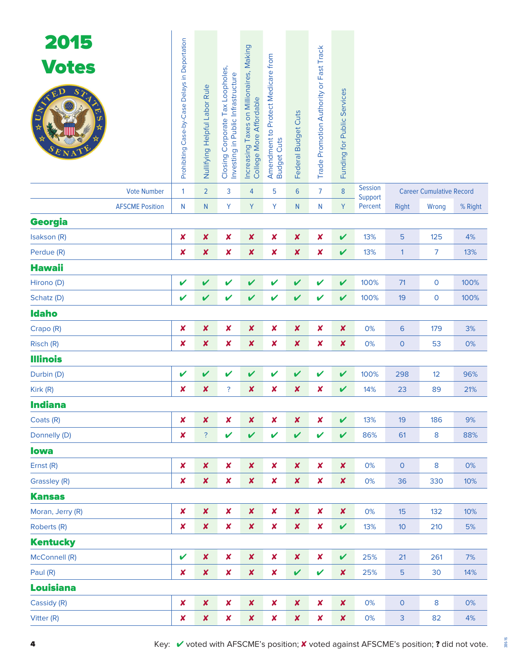| 2015<br><b>Votes</b><br>ED<br>STA<br><b>Vote Number</b> | Prohibiting Case-by-Case Delays in Deportation<br>1 | Nullifying Helpful Labor Rule<br>$\overline{2}$ | Closing Corporate Tax Loopholes,<br>Investing in Public Infrastructure<br>3 | Increasing Taxes on Millionaires, Making<br>College More Affordable<br>$\overline{4}$ | Amendment to Protect Medicare from<br><b>Budget Cuts</b><br>5 | Federal Budget Cuts<br>$6\phantom{1}$ | Trade Promotion Authority or Fast Track<br>7 | Funding for Public Services<br>$\boldsymbol{8}$ | <b>Session</b>     |                     | <b>Career Cumulative Record</b> |         |
|---------------------------------------------------------|-----------------------------------------------------|-------------------------------------------------|-----------------------------------------------------------------------------|---------------------------------------------------------------------------------------|---------------------------------------------------------------|---------------------------------------|----------------------------------------------|-------------------------------------------------|--------------------|---------------------|---------------------------------|---------|
| <b>AFSCME Position</b>                                  | $\mathsf{N}$                                        | N                                               | Y                                                                           | Y                                                                                     | Y                                                             | N                                     | N                                            | Y                                               | Support<br>Percent | <b>Right</b>        | Wrong                           | % Right |
| <b>Georgia</b>                                          |                                                     |                                                 |                                                                             |                                                                                       |                                                               |                                       |                                              |                                                 |                    |                     |                                 |         |
| Isakson (R)                                             | X                                                   | $\boldsymbol{x}$                                | X                                                                           | $\boldsymbol{\mathsf{x}}$                                                             | $\pmb{\times}$                                                | $\boldsymbol{\mathsf{x}}$             | $\boldsymbol{x}$                             | $\boldsymbol{\mathcal{U}}$                      | 13%                | 5                   | 125                             | 4%      |
| Perdue (R)                                              | ×                                                   | $\boldsymbol{x}$                                | X                                                                           | $\boldsymbol{\mathsf{x}}$                                                             | ×                                                             | $\boldsymbol{\mathsf{x}}$             | $\boldsymbol{x}$                             | $\boldsymbol{\mathcal{U}}$                      | 13%                | $\mathbf{1}$        | $\overline{7}$                  | 13%     |
| <b>Hawaii</b>                                           |                                                     |                                                 |                                                                             |                                                                                       |                                                               |                                       |                                              |                                                 |                    |                     |                                 |         |
| Hirono (D)                                              | $\checkmark$                                        | $\boldsymbol{\mathcal{U}}$                      | $\boldsymbol{\mathcal{U}}$                                                  | V                                                                                     | $\mathbf v$                                                   | V                                     | V                                            | $\mathbf v$                                     | 100%               | 71                  | $\mathbf 0$                     | 100%    |
| Schatz (D)                                              | V                                                   | V                                               | $\checkmark$                                                                | $\mathbf v$                                                                           | $\mathbf v$                                                   | V                                     | V                                            | V                                               | 100%               | 19                  | $\mathbf 0$                     | 100%    |
| <b>Idaho</b>                                            |                                                     |                                                 |                                                                             |                                                                                       |                                                               |                                       |                                              |                                                 |                    |                     |                                 |         |
| Crapo (R)                                               | ×                                                   | $\pmb{\mathsf{x}}$                              | X                                                                           | $\boldsymbol{\mathsf{x}}$                                                             | $\pmb{\times}$                                                | $\boldsymbol{\mathsf{x}}$             | $\boldsymbol{x}$                             | $\boldsymbol{x}$                                | 0%                 | 6                   | 179                             | 3%      |
| Risch (R)                                               | ×                                                   | $\boldsymbol{x}$                                | X                                                                           | $\boldsymbol{\mathsf{x}}$                                                             | $\pmb{\times}$                                                | $\boldsymbol{\mathsf{x}}$             | $\boldsymbol{x}$                             | $\boldsymbol{x}$                                | 0%                 | $\overline{0}$      | 53                              | 0%      |
| <b>Illinois</b>                                         |                                                     |                                                 |                                                                             |                                                                                       |                                                               |                                       |                                              |                                                 |                    |                     |                                 |         |
| Durbin (D)                                              | V                                                   | $\boldsymbol{\mathcal{U}}$                      | $\mathbf v$                                                                 | V                                                                                     | $\mathbf v$                                                   | V                                     | V                                            | $\mathbf v$                                     | 100%               | 298                 | 12                              | 96%     |
| Kirk (R)                                                | ×                                                   | $\boldsymbol{x}$                                | ?                                                                           | ×                                                                                     | ×                                                             | $\boldsymbol{\mathsf{x}}$             | $\boldsymbol{x}$                             | $\mathbf v$                                     | 14%                | 23                  | 89                              | 21%     |
| <b>Indiana</b>                                          |                                                     |                                                 |                                                                             |                                                                                       |                                                               |                                       |                                              |                                                 |                    |                     |                                 |         |
| Coats (R)                                               | $\boldsymbol{x}$                                    | $\boldsymbol{x}$                                | $\pmb{\times}$                                                              | $\boldsymbol{x}$                                                                      | $\pmb{\times}$                                                | $\boldsymbol{x}$                      | $\boldsymbol{x}$                             | $\mathbf v$                                     | 13%                | 19                  | 186                             | 9%      |
| Donnelly (D)                                            | $\boldsymbol{x}$                                    | $\ddot{?}$                                      | $\mathbf v$                                                                 | $\checkmark$                                                                          | $\mathbf v$                                                   | V                                     | V                                            | V                                               | 86%                | 61                  | 8                               | 88%     |
| <b>lowa</b>                                             |                                                     |                                                 |                                                                             |                                                                                       |                                                               |                                       |                                              |                                                 |                    |                     |                                 |         |
| Ernst (R)                                               | X                                                   | $\boldsymbol{x}$                                | $\pmb{\times}$                                                              | $\boldsymbol{x}$                                                                      | $\pmb{\times}$                                                | $\pmb{\times}$                        | $\pmb{\times}$                               | $\boldsymbol{x}$                                | 0%                 | $\mathsf{O}\xspace$ | 8                               | 0%      |
| Grassley (R)                                            | X                                                   | $\pmb{\mathsf{x}}$                              | $\pmb{\mathsf{x}}$                                                          | $\pmb{\mathsf{x}}$                                                                    | $\pmb{\times}$                                                | $\pmb{\times}$                        | $\boldsymbol{x}$                             | $\boldsymbol{x}$                                | 0%                 | 36                  | 330                             | 10%     |
| <b>Kansas</b>                                           |                                                     |                                                 |                                                                             |                                                                                       |                                                               |                                       |                                              |                                                 |                    |                     |                                 |         |
| Moran, Jerry (R)                                        | $\boldsymbol{x}$                                    | $\pmb{\times}$                                  | $\pmb{\mathsf{x}}$                                                          | $\boldsymbol{x}$                                                                      | $\pmb{\times}$                                                | $\pmb{\times}$                        | $\boldsymbol{x}$                             | $\pmb{\mathsf{x}}$                              | 0%                 | 15                  | 132                             | 10%     |
| Roberts (R)                                             | $\boldsymbol{x}$                                    | $\boldsymbol{x}$                                | $\pmb{\mathsf{x}}$                                                          | $\boldsymbol{x}$                                                                      | $\pmb{\times}$                                                | $\boldsymbol{x}$                      | $\pmb{\times}$                               | $\checkmark$                                    | 13%                | 10                  | 210                             | 5%      |
| <b>Kentucky</b>                                         |                                                     |                                                 |                                                                             |                                                                                       |                                                               |                                       |                                              |                                                 |                    |                     |                                 |         |
| McConnell (R)                                           | V                                                   | $\boldsymbol{x}$                                | $\pmb{\times}$                                                              | $\boldsymbol{x}$                                                                      | $\pmb{\times}$                                                | $\boldsymbol{x}$                      | $\pmb{\times}$                               | V                                               | 25%                | 21                  | 261                             | 7%      |
| Paul (R)                                                | ×                                                   | $\pmb{\mathsf{x}}$                              | $\pmb{\mathsf{x}}$                                                          | $\pmb{\mathsf{x}}$                                                                    | $\pmb{\times}$                                                | V                                     | V                                            | $\boldsymbol{x}$                                | 25%                | $\overline{5}$      | 30                              | 14%     |
| <b>Louisiana</b>                                        |                                                     |                                                 |                                                                             |                                                                                       |                                                               |                                       |                                              |                                                 |                    |                     |                                 |         |
| Cassidy (R)                                             | $\boldsymbol{x}$                                    | $\boldsymbol{x}$                                | $\pmb{\mathsf{x}}$                                                          | $\pmb{\mathsf{x}}$                                                                    | $\boldsymbol{x}$                                              | $\pmb{\times}$                        | $\boldsymbol{x}$                             | $\boldsymbol{x}$                                | 0%                 | $\mathsf{O}\xspace$ | 8                               | 0%      |
| Vitter (R)                                              | ×                                                   | $\pmb{\mathsf{x}}$                              | $\pmb{\mathsf{x}}$                                                          | $\pmb{\mathsf{x}}$                                                                    | $\pmb{\mathsf{x}}$                                            | $\pmb{\mathsf{x}}$                    | $\pmb{\mathsf{x}}$                           | $\pmb{\mathsf{x}}$                              | 0%                 | 3                   | 82                              | 4%      |

386-16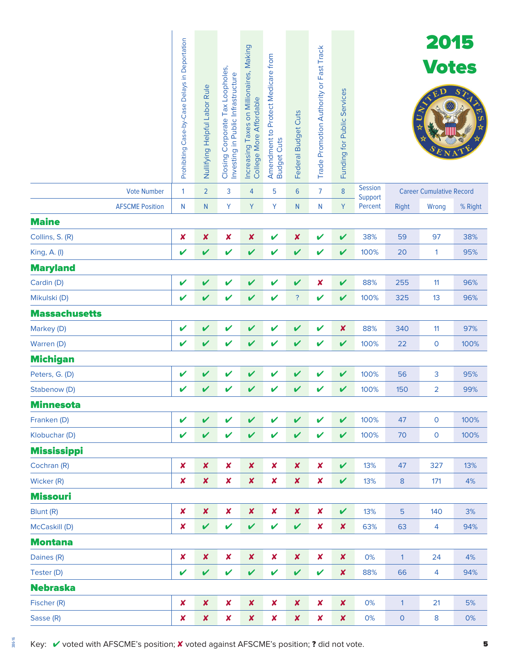| <b>Vote Number</b>     | Prohibiting Case-by-Case Delays in Deportation<br>1 | Nullifying Helpful Labor Rule<br>$\overline{2}$ | Closing Corporate Tax Loopholes,<br>Investing in Public Infrastructure<br>3 | Increasing Taxes on Millionaires, Making<br>College More Affordable<br>4 | Amendment to Protect Medicare from<br><b>Budget Cuts</b><br>5 | Federal Budget Cuts<br>$6\phantom{1}6$ | Trade Promotion Authority or Fast Track<br>$\overline{7}$ | Funding for Public Services<br>$\bf 8$ | <b>Session</b>     |                     | 2015<br><b>Votes</b><br><b>Career Cumulative Record</b> | $S_{\sum}$ |
|------------------------|-----------------------------------------------------|-------------------------------------------------|-----------------------------------------------------------------------------|--------------------------------------------------------------------------|---------------------------------------------------------------|----------------------------------------|-----------------------------------------------------------|----------------------------------------|--------------------|---------------------|---------------------------------------------------------|------------|
| <b>AFSCME Position</b> | N                                                   | N                                               | Y                                                                           | Y                                                                        | Y                                                             | $\mathsf{N}$                           | N                                                         | Y                                      | Support<br>Percent | <b>Right</b>        | Wrong                                                   | % Right    |
| <b>Maine</b>           |                                                     |                                                 |                                                                             |                                                                          |                                                               |                                        |                                                           |                                        |                    |                     |                                                         |            |
| Collins, S. (R)        | $\boldsymbol{\mathsf{x}}$                           | $\pmb{\mathsf{x}}$                              | $\pmb{\mathsf{x}}$                                                          | $\pmb{\mathsf{x}}$                                                       | V                                                             | $\boldsymbol{x}$                       | V                                                         | V                                      | 38%                | 59                  | 97                                                      | 38%        |
| King, A. (I)           | V                                                   | $\mathbf v$                                     | V                                                                           | $\mathbf v$                                                              | V                                                             | V                                      | V                                                         | $\boldsymbol{\mathcal{U}}$             | 100%               | 20                  | $\mathbf{1}$                                            | 95%        |
| <b>Maryland</b>        |                                                     |                                                 |                                                                             |                                                                          |                                                               |                                        |                                                           |                                        |                    |                     |                                                         |            |
| Cardin (D)             | V                                                   | $\checkmark$                                    | V                                                                           | $\mathbf v$                                                              | V                                                             | $\overline{\mathbf{v}}$                | $\boldsymbol{x}$                                          | V                                      | 88%                | 255                 | 11                                                      | 96%        |
| Mikulski (D)           | V                                                   | V                                               | V                                                                           | V                                                                        | $\mathbf v$                                                   | ?                                      | $\mathbf v$                                               | $\checkmark$                           | 100%               | 325                 | 13                                                      | 96%        |
| <b>Massachusetts</b>   |                                                     |                                                 |                                                                             |                                                                          |                                                               |                                        |                                                           |                                        |                    |                     |                                                         |            |
| Markey (D)             | V                                                   | V                                               | V                                                                           | V                                                                        | V                                                             | V                                      | V                                                         | $\boldsymbol{x}$                       | 88%                | 340                 | 11                                                      | 97%        |
| Warren (D)             | V                                                   | $\checkmark$                                    | V                                                                           | V                                                                        | V                                                             | V                                      | V                                                         | $\boldsymbol{\mathcal{U}}$             | 100%               | 22                  | $\mathbf 0$                                             | 100%       |
| <b>Michigan</b>        |                                                     |                                                 |                                                                             |                                                                          |                                                               |                                        |                                                           |                                        |                    |                     |                                                         |            |
| Peters, G. (D)         | V                                                   | $\checkmark$                                    | V                                                                           | V                                                                        | V                                                             | V                                      | V                                                         | V                                      | 100%               | 56                  | 3                                                       | 95%        |
| Stabenow (D)           | V                                                   | V                                               | V                                                                           | V                                                                        | V                                                             | V                                      | V                                                         | V                                      | 100%               | 150                 | $\overline{2}$                                          | 99%        |
| <b>Minnesota</b>       |                                                     |                                                 |                                                                             |                                                                          |                                                               |                                        |                                                           |                                        |                    |                     |                                                         |            |
| Franken (D)            | V                                                   | $\mathbf v$                                     | V                                                                           | V                                                                        | $\mathbf v$                                                   | $\checkmark$                           | $\mathbf v$                                               | $\checkmark$                           | 100%               | 47                  | $\mathbf 0$                                             | 100%       |
| Klobuchar (D)          | V                                                   | $\mathbf v$                                     | V                                                                           | V                                                                        | $\mathbf v$                                                   | V                                      | V                                                         | $\boldsymbol{\mathcal{U}}$             | 100%               | 70                  | $\mathsf{O}\xspace$                                     | 100%       |
| <b>Mississippi</b>     |                                                     |                                                 |                                                                             |                                                                          |                                                               |                                        |                                                           |                                        |                    |                     |                                                         |            |
| Cochran (R)            | $\pmb{\times}$                                      | $\pmb{\mathsf{x}}$                              | $\pmb{\mathsf{x}}$                                                          | $\pmb{\mathsf{x}}$                                                       | $\pmb{\times}$                                                | $\pmb{\mathsf{x}}$                     | $\pmb{\mathsf{x}}$                                        | $\checkmark$                           | 13%                | 47                  | 327                                                     | 13%        |
| Wicker (R)             | $\boldsymbol{\mathsf{x}}$                           | $\pmb{\mathsf{x}}$                              | $\pmb{\mathsf{x}}$                                                          | $\pmb{\mathsf{x}}$                                                       | $\pmb{\times}$                                                | $\pmb{\mathsf{x}}$                     | $\pmb{\mathsf{x}}$                                        | $\mathbf v$                            | 13%                | $\bf 8$             | 171                                                     | 4%         |
| <b>Missouri</b>        |                                                     |                                                 |                                                                             |                                                                          |                                                               |                                        |                                                           |                                        |                    |                     |                                                         |            |
| Blunt (R)              | $\boldsymbol{x}$                                    | $\pmb{\mathsf{x}}$                              | $\pmb{\mathsf{x}}$                                                          | $\boldsymbol{x}$                                                         | $\pmb{\times}$                                                | $\pmb{\mathsf{x}}$                     | $\pmb{\mathsf{x}}$                                        | $\mathbf v$                            | 13%                | $\overline{5}$      | 140                                                     | 3%         |
| McCaskill (D)          | $\boldsymbol{x}$                                    | $\mathbf v$                                     | V                                                                           | $\mathbf v$                                                              | $\mathbf v$                                                   | $\overline{\mathbf{v}}$                | $\pmb{\mathsf{x}}$                                        | $\boldsymbol{x}$                       | 63%                | 63                  | 4                                                       | 94%        |
| <b>Montana</b>         |                                                     |                                                 |                                                                             |                                                                          |                                                               |                                        |                                                           |                                        |                    |                     |                                                         |            |
| Daines (R)             | $\boldsymbol{x}$                                    | $\pmb{\mathsf{x}}$                              | $\pmb{\mathsf{x}}$                                                          | $\pmb{\mathsf{x}}$                                                       | $\pmb{\mathsf{x}}$                                            | $\pmb{\mathsf{x}}$                     | $\pmb{\mathsf{x}}$                                        | $\boldsymbol{x}$                       | 0%                 | $\mathbf{1}$        | 24                                                      | 4%         |
| Tester (D)             | V                                                   | $\mathbf v$                                     | V                                                                           | V                                                                        | $\mathbf v$                                                   | V                                      | V                                                         | $\boldsymbol{\mathsf{x}}$              | 88%                | 66                  | 4                                                       | 94%        |
| <b>Nebraska</b>        |                                                     |                                                 |                                                                             |                                                                          |                                                               |                                        |                                                           |                                        |                    |                     |                                                         |            |
| Fischer (R)            | $\boldsymbol{x}$                                    | $\pmb{\mathsf{x}}$                              | $\pmb{\mathsf{x}}$                                                          | $\pmb{\mathsf{x}}$                                                       | $\pmb{\mathsf{x}}$                                            | $\pmb{\mathsf{x}}$                     | $\pmb{\mathsf{x}}$                                        | $\boldsymbol{x}$                       | 0%                 | $\mathbf{1}$        | 21                                                      | 5%         |
| Sasse (R)              | $\boldsymbol{x}$                                    | $\pmb{\mathsf{x}}$                              | $\pmb{\mathsf{x}}$                                                          | $\pmb{\mathsf{x}}$                                                       | $\pmb{\mathsf{x}}$                                            | $\pmb{\mathsf{x}}$                     | $\pmb{\mathsf{x}}$                                        | $\pmb{\times}$                         | 0%                 | $\mathsf{O}\xspace$ | $\bf 8$                                                 | 0%         |

Key: V voted with AFSCME's position; X voted against AFSCME's position; ? did not vote.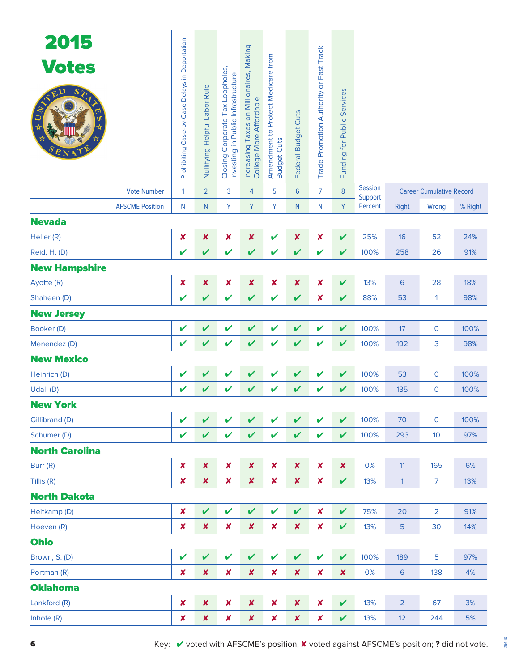| 2015<br><b>Votes</b><br>$S\chi$<br>ED<br><b>Vote Number</b> | Prohibiting Case-by-Case Delays in Deportation<br>$\mathbf{1}$ | Nullifying Helpful Labor Rule<br>$\overline{2}$ | Closing Corporate Tax Loopholes,<br>Investing in Public Infrastructure<br>3 | Increasing Taxes on Millionaires, Making<br>College More Affordable<br>$\overline{4}$ | Amendment to Protect Medicare from<br><b>Budget Cuts</b><br>5 | Federal Budget Cuts<br>$6\phantom{1}$ | Trade Promotion Authority or Fast Track<br>$\overline{7}$ | Funding for Public Services<br>8 | <b>Session</b>     |                 | <b>Career Cumulative Record</b> |         |
|-------------------------------------------------------------|----------------------------------------------------------------|-------------------------------------------------|-----------------------------------------------------------------------------|---------------------------------------------------------------------------------------|---------------------------------------------------------------|---------------------------------------|-----------------------------------------------------------|----------------------------------|--------------------|-----------------|---------------------------------|---------|
| <b>AFSCME Position</b>                                      | N                                                              | N                                               | Υ                                                                           | Y                                                                                     | Υ                                                             | N                                     | N                                                         | Y                                | Support<br>Percent | <b>Right</b>    | Wrong                           | % Right |
| <b>Nevada</b>                                               |                                                                |                                                 |                                                                             |                                                                                       |                                                               |                                       |                                                           |                                  |                    |                 |                                 |         |
| Heller (R)                                                  | X                                                              | X                                               | ×                                                                           | ×                                                                                     | V                                                             | $\boldsymbol{x}$                      | $\pmb{\times}$                                            | V                                | 25%                | 16              | 52                              | 24%     |
| Reid, H. (D)                                                | V                                                              | $\boldsymbol{\mathcal{U}}$                      | V                                                                           | $\mathbf v$                                                                           | V                                                             | V                                     | V                                                         | V                                | 100%               | 258             | 26                              | 91%     |
| <b>New Hampshire</b>                                        |                                                                |                                                 |                                                                             |                                                                                       |                                                               |                                       |                                                           |                                  |                    |                 |                                 |         |
| Ayotte (R)                                                  | ×                                                              | $\boldsymbol{x}$                                | $\pmb{\mathsf{x}}$                                                          | $\pmb{\times}$                                                                        | $\pmb{\mathsf{x}}$                                            | $\boldsymbol{x}$                      | $\pmb{\times}$                                            | V                                | 13%                | 6               | 28                              | 18%     |
| Shaheen (D)                                                 | V                                                              | V                                               | V                                                                           | $\mathbf v$                                                                           | V                                                             | V                                     | $\pmb{\times}$                                            | V                                | 88%                | 53              | 1                               | 98%     |
| <b>New Jersey</b>                                           |                                                                |                                                 |                                                                             |                                                                                       |                                                               |                                       |                                                           |                                  |                    |                 |                                 |         |
| Booker (D)                                                  | V                                                              | V                                               | V                                                                           | V                                                                                     | V                                                             | V                                     | V                                                         | V                                | 100%               | 17              | 0                               | 100%    |
| Menendez (D)                                                | V                                                              | V                                               | V                                                                           | $\mathbf v$                                                                           | V                                                             | V                                     | V                                                         | V                                | 100%               | 192             | 3                               | 98%     |
| <b>New Mexico</b>                                           |                                                                |                                                 |                                                                             |                                                                                       |                                                               |                                       |                                                           |                                  |                    |                 |                                 |         |
| Heinrich (D)                                                | V                                                              | V                                               | V                                                                           | $\mathbf v$                                                                           | V                                                             | V                                     | V                                                         | V                                | 100%               | 53              | 0                               | 100%    |
| Udall (D)                                                   | V                                                              | V                                               | V                                                                           | V                                                                                     | V                                                             | V                                     | V                                                         | V                                | 100%               | 135             | 0                               | 100%    |
| <b>New York</b>                                             |                                                                |                                                 |                                                                             |                                                                                       |                                                               |                                       |                                                           |                                  |                    |                 |                                 |         |
| Gillibrand (D)                                              | V                                                              | $\boldsymbol{\mathcal{U}}$                      | V                                                                           | $\checkmark$                                                                          | V                                                             | $\mathbf v$                           | V                                                         | V                                | 100%               | 70              | $\mathbf 0$                     | 100%    |
| Schumer (D)                                                 | V                                                              | $\boldsymbol{\mathcal{U}}$                      | V                                                                           | $\mathbf v$                                                                           | V                                                             | V                                     | V                                                         | V                                | 100%               | 293             | 10                              | 97%     |
| <b>North Carolina</b>                                       |                                                                |                                                 |                                                                             |                                                                                       |                                                               |                                       |                                                           |                                  |                    |                 |                                 |         |
| Burr (R)                                                    | X                                                              | $\boldsymbol{x}$                                | $\pmb{\times}$                                                              | $\pmb{\times}$                                                                        | $\boldsymbol{x}$                                              | $\pmb{\times}$                        | $\pmb{\times}$                                            | $\boldsymbol{x}$                 | 0%                 | 11              | 165                             | 6%      |
| Tillis (R)                                                  | X                                                              | $\boldsymbol{x}$                                | $\pmb{\times}$                                                              | $\pmb{\times}$                                                                        | $\boldsymbol{x}$                                              | $\boldsymbol{x}$                      | $\pmb{\times}$                                            | V                                | 13%                | $\mathbf{1}$    | $\overline{7}$                  | 13%     |
| <b>North Dakota</b>                                         |                                                                |                                                 |                                                                             |                                                                                       |                                                               |                                       |                                                           |                                  |                    |                 |                                 |         |
| Heitkamp (D)                                                | $\pmb{\times}$                                                 | $\checkmark$                                    | $\checkmark$                                                                | $\checkmark$                                                                          | V                                                             | $\mathbf v$                           | ×                                                         | $\mathbf v$                      | 75%                | 20              | $\overline{2}$                  | 91%     |
| Hoeven (R)                                                  | ×                                                              | $\boldsymbol{x}$                                | $\boldsymbol{x}$                                                            | $\pmb{\times}$                                                                        | $\pmb{\times}$                                                | $\boldsymbol{x}$                      | $\pmb{\times}$                                            | V                                | 13%                | 5               | 30                              | 14%     |
| <b>Ohio</b>                                                 |                                                                |                                                 |                                                                             |                                                                                       |                                                               |                                       |                                                           |                                  |                    |                 |                                 |         |
| Brown, S. (D)                                               | V                                                              | $\mathbf v$                                     | $\mathbf v$                                                                 | $\checkmark$                                                                          | V                                                             | $\checkmark$                          | V                                                         | V                                | 100%               | 189             | 5                               | 97%     |
| Portman (R)                                                 | X                                                              | $\pmb{\mathsf{x}}$                              | $\pmb{\times}$                                                              | $\pmb{\times}$                                                                        | $\boldsymbol{x}$                                              | $\boldsymbol{x}$                      | $\pmb{\times}$                                            | $\boldsymbol{x}$                 | 0%                 | $6\phantom{1}6$ | 138                             | 4%      |
| <b>Oklahoma</b>                                             |                                                                |                                                 |                                                                             |                                                                                       |                                                               |                                       |                                                           |                                  |                    |                 |                                 |         |
| Lankford (R)                                                | $\boldsymbol{\mathsf{x}}$                                      | $\boldsymbol{x}$                                | $\boldsymbol{x}$                                                            | $\pmb{\times}$                                                                        | $\boldsymbol{x}$                                              | $\pmb{\times}$                        | $\pmb{\times}$                                            | $\mathbf v$                      | 13%                | $\overline{2}$  | 67                              | 3%      |
| Inhofe (R)                                                  | X                                                              | X                                               | $\pmb{\mathsf{x}}$                                                          | $\pmb{\times}$                                                                        | $\boldsymbol{x}$                                              | $\pmb{\times}$                        | $\pmb{\mathsf{x}}$                                        | V                                | 13%                | 12              | 244                             | 5%      |

386-16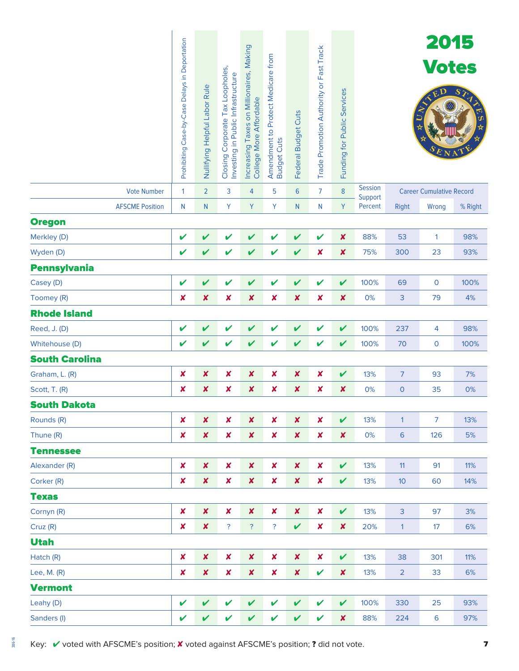|                        | Prohibiting Case-by-Case Delays in Deportation | Nullifying Helpful Labor Rule | Closing Corporate Tax Loopholes,<br>Investing in Public Infrastructure | Increasing Taxes on Millionaires, Making<br>College More Affordable | Amendment to Protect Medicare from<br><b>Budget Cuts</b> | Federal Budget Cuts        | Trade Promotion Authority or Fast Track | Funding for Public Services |                           |                | 2015<br><b>Votes</b>            | $\overline{S}$ |
|------------------------|------------------------------------------------|-------------------------------|------------------------------------------------------------------------|---------------------------------------------------------------------|----------------------------------------------------------|----------------------------|-----------------------------------------|-----------------------------|---------------------------|----------------|---------------------------------|----------------|
| <b>Vote Number</b>     | 1                                              | $\overline{2}$                | 3                                                                      | 4                                                                   | 5                                                        | $6\phantom{1}6$            | $\overline{7}$                          | $\bf 8$                     | <b>Session</b><br>Support |                | <b>Career Cumulative Record</b> |                |
| <b>AFSCME Position</b> | N                                              | $\mathsf{N}$                  | Y                                                                      | Y                                                                   | Y                                                        | N.                         | N                                       | Y                           | Percent                   | Right          | Wrong                           | % Right        |
| <b>Oregon</b>          |                                                |                               |                                                                        |                                                                     |                                                          |                            |                                         |                             |                           |                |                                 |                |
| Merkley (D)            | V                                              | V                             | V                                                                      | V                                                                   | V                                                        | V                          | V                                       | $\boldsymbol{x}$            | 88%                       | 53             | $\mathbf{1}$                    | 98%            |
| Wyden (D)              | V                                              | V                             | V                                                                      | V                                                                   | V                                                        | $\mathbf v$                | $\boldsymbol{x}$                        | $\boldsymbol{x}$            | 75%                       | 300            | 23                              | 93%            |
| <b>Pennsylvania</b>    |                                                |                               |                                                                        |                                                                     |                                                          |                            |                                         |                             |                           |                |                                 |                |
| Casey (D)              | V                                              | $\overline{\mathbf{v}}$       | V                                                                      | V                                                                   | V                                                        | V                          | V                                       | $\mathbf v$                 | 100%                      | 69             | $\mathsf{O}$                    | 100%           |
| Toomey (R)             | $\boldsymbol{\mathsf{x}}$                      | $\pmb{\mathsf{x}}$            | $\pmb{\mathsf{x}}$                                                     | $\pmb{\mathsf{X}}$                                                  | $\pmb{\times}$                                           | $\boldsymbol{\mathsf{x}}$  | ×                                       | $\boldsymbol{x}$            | 0%                        | 3              | 79                              | 4%             |
| <b>Rhode Island</b>    |                                                |                               |                                                                        |                                                                     |                                                          |                            |                                         |                             |                           |                |                                 |                |
| Reed, J. (D)           | V                                              | V                             | V                                                                      | V                                                                   | V                                                        | V                          | V                                       | V                           | 100%                      | 237            | 4                               | 98%            |
| Whitehouse (D)         | V                                              | V                             | V                                                                      | V                                                                   | V                                                        | V                          | V                                       | V                           | 100%                      | 70             | $\mathbf 0$                     | 100%           |
| <b>South Carolina</b>  |                                                |                               |                                                                        |                                                                     |                                                          |                            |                                         |                             |                           |                |                                 |                |
| Graham, L. (R)         | $\boldsymbol{\mathsf{x}}$                      | $\pmb{\mathsf{X}}$            | $\pmb{\mathsf{x}}$                                                     | $\pmb{\mathsf{x}}$                                                  | $\boldsymbol{\mathsf{x}}$                                | $\boldsymbol{x}$           | $\pmb{\times}$                          | $\mathbf v$                 | 13%                       | $\overline{7}$ | 93                              | 7%             |
| Scott, T. (R)          | $\boldsymbol{\mathsf{x}}$                      | $\pmb{\mathsf{x}}$            | $\pmb{\times}$                                                         | $\boldsymbol{x}$                                                    | ×                                                        | ×                          | ×                                       | $\boldsymbol{x}$            | 0%                        | $\mathbf 0$    | 35                              | 0%             |
| <b>South Dakota</b>    |                                                |                               |                                                                        |                                                                     |                                                          |                            |                                         |                             |                           |                |                                 |                |
| Rounds (R)             | $\boldsymbol{x}$                               | $\boldsymbol{x}$              | $\pmb{\mathsf{x}}$                                                     | $\pmb{\times}$                                                      | $\pmb{\times}$                                           | $\boldsymbol{\mathsf{x}}$  | ×                                       | V                           | 13%                       | $\mathbf{1}$   | $\overline{7}$                  | 13%            |
| Thune (R)              | $\boldsymbol{\mathsf{x}}$                      | $\pmb{\mathsf{x}}$            | $\pmb{\mathsf{x}}$                                                     | $\pmb{\mathsf{x}}$                                                  | $\pmb{\times}$                                           | $\boldsymbol{\mathsf{x}}$  | ×                                       | X                           | 0%                        | 6              | 126                             | 5%             |
| <b>Tennessee</b>       |                                                |                               |                                                                        |                                                                     |                                                          |                            |                                         |                             |                           |                |                                 |                |
| Alexander (R)          | $\boldsymbol{x}$                               | $\pmb{\mathsf{x}}$            | $\pmb{\mathsf{x}}$                                                     | $\pmb{\mathsf{x}}$                                                  | $\pmb{\mathsf{x}}$                                       | $\boldsymbol{\mathsf{x}}$  | $\pmb{\times}$                          | $\checkmark$                | 13%                       | 11             | 91                              | 11%            |
| Corker (R)             | $\boldsymbol{x}$                               | $\pmb{\mathsf{x}}$            | $\pmb{\mathsf{x}}$                                                     | $\pmb{\mathsf{x}}$                                                  | $\pmb{\times}$                                           | $\boldsymbol{\mathsf{x}}$  | $\pmb{\times}$                          | $\checkmark$                | 13%                       | 10             | 60                              | 14%            |
| <b>Texas</b>           |                                                |                               |                                                                        |                                                                     |                                                          |                            |                                         |                             |                           |                |                                 |                |
| Cornyn (R)             | $\pmb{\times}$                                 | $\pmb{\mathsf{x}}$            | $\pmb{\mathsf{x}}$                                                     | $\pmb{\mathsf{x}}$                                                  | $\pmb{\times}$                                           | $\pmb{\times}$             | $\boldsymbol{x}$                        | $\mathbf v$                 | 13%                       | $\overline{3}$ | 97                              | 3%             |
| Cruz (R)               | $\boldsymbol{\mathsf{x}}$                      | $\pmb{\mathsf{x}}$            | <sup>?</sup>                                                           | $\overline{\mathcal{E}}$                                            | $\overline{\mathcal{E}}$                                 | V                          | $\pmb{\times}$                          | X                           | 20%                       | $\mathbf{1}$   | 17                              | 6%             |
| <b>Utah</b>            |                                                |                               |                                                                        |                                                                     |                                                          |                            |                                         |                             |                           |                |                                 |                |
| Hatch (R)              | $\boldsymbol{x}$                               | $\pmb{\mathsf{x}}$            | $\pmb{\mathsf{x}}$                                                     | $\pmb{\mathsf{x}}$                                                  | $\pmb{\times}$                                           | $\boldsymbol{\mathsf{x}}$  | $\pmb{\times}$                          | $\checkmark$                | 13%                       | 38             | 301                             | 11%            |
| Lee, M. (R)            | $\boldsymbol{x}$                               | $\pmb{\mathsf{x}}$            | $\pmb{\mathsf{x}}$                                                     | $\pmb{\mathsf{x}}$                                                  | $\pmb{\times}$                                           | $\boldsymbol{\mathsf{x}}$  | V                                       | $\boldsymbol{x}$            | 13%                       | $\overline{2}$ | 33                              | 6%             |
| <b>Vermont</b>         |                                                |                               |                                                                        |                                                                     |                                                          |                            |                                         |                             |                           |                |                                 |                |
| Leahy (D)              | V                                              | $\mathbf v$                   | V                                                                      | V                                                                   | $\mathbf v$                                              | V                          | $\boldsymbol{\nu}$                      | $\checkmark$                | 100%                      | 330            | 25                              | 93%            |
| Sanders (I)            | V                                              | $\boldsymbol{\mathcal{U}}$    | V                                                                      | $\mathbf v$                                                         | $\mathbf v$                                              | $\boldsymbol{\mathcal{U}}$ | V                                       | X                           | 88%                       | 224            | $\boldsymbol{6}$                | 97%            |

386-16

Key: V voted with AFSCME's position; X voted against AFSCME's position; ? did not vote.